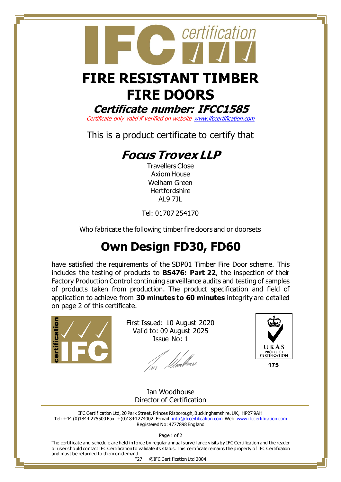## **FIRE RESISTANT TIMBER FIRE DOORS**

certification

**Certificate number: IFCC1585**

Certificate only valid if verified on websit[e www.ifccertification.com](http://www.ifccertification.com/)

This is a product certificate to certify that

## **Focus Trovex LLP**

Travellers Close Axiom House Welham Green **Hertfordshire** AL9 7JL

Tel: 01707 254170

Who fabricate the following timber fire doors and or doorsets

## **Own Design FD30, FD60**

have satisfied the requirements of the SDP01 Timber Fire Door scheme. This includes the testing of products to **BS476: Part 22**, the inspection of their Factory Production Control continuing surveillance audits and testing of samples of products taken from production. The product specification and field of application to achieve from **30 minutes to 60 minutes** integrity are detailed on page 2 of this certificate.



First Issued: 10 August 2020 Valid to: 09 August 2025 Issue No: 1

ur *Ühvel<sup>li</sup>vusl* 



175

Ian Woodhouse Director of Certification

IFC Certification Ltd, 20 Park Street, Princes Risborough, Buckinghamshire. UK, HP27 9AH Tel: +44 (0)1844 275500 Fax: +(0)1844 274002 E-mail[: info@ifccertification.com](mailto:info@ifccertification.com) Web[: www.ifccertification.com](http://www.ifccertification.com/) Registered No: 4777898 England

Page 1 of 2

The certificate and schedule are held in force by regular annual surveillance visits by IFC Certification and the reader or user should contact IFC Certification to validate its status. This certificate remains the property of IFC Certification and must be returned to them on demand.

F27 ©IFC Certification Ltd 2004